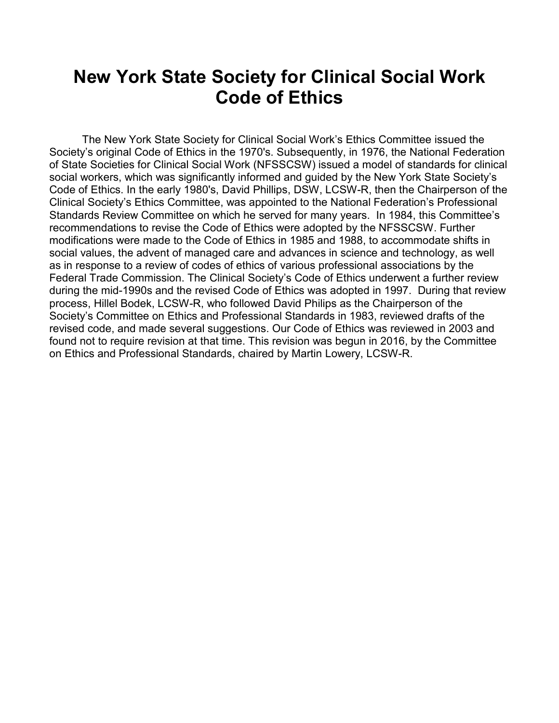# **New York State Society for Clinical Social Work Code of Ethics**

The New York State Society for Clinical Social Work's Ethics Committee issued the Society's original Code of Ethics in the 1970's. Subsequently, in 1976, the National Federation of State Societies for Clinical Social Work (NFSSCSW) issued a model of standards for clinical social workers, which was significantly informed and guided by the New York State Society's Code of Ethics. In the early 1980's, David Phillips, DSW, LCSW-R, then the Chairperson of the Clinical Society's Ethics Committee, was appointed to the National Federation's Professional Standards Review Committee on which he served for many years. In 1984, this Committee's recommendations to revise the Code of Ethics were adopted by the NFSSCSW. Further modifications were made to the Code of Ethics in 1985 and 1988, to accommodate shifts in social values, the advent of managed care and advances in science and technology, as well as in response to a review of codes of ethics of various professional associations by the Federal Trade Commission. The Clinical Society's Code of Ethics underwent a further review during the mid-1990s and the revised Code of Ethics was adopted in 1997. During that review process, Hillel Bodek, LCSW-R, who followed David Philips as the Chairperson of the Society's Committee on Ethics and Professional Standards in 1983, reviewed drafts of the revised code, and made several suggestions. Our Code of Ethics was reviewed in 2003 and found not to require revision at that time. This revision was begun in 2016, by the Committee on Ethics and Professional Standards, chaired by Martin Lowery, LCSW-R.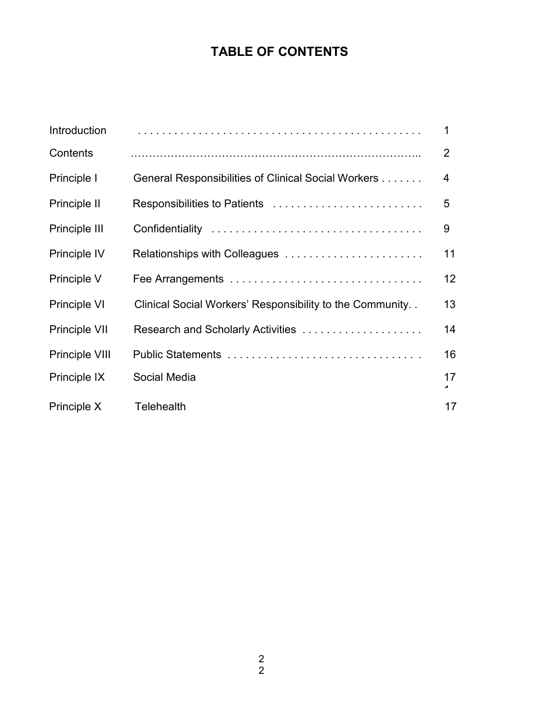## **TABLE OF CONTENTS**

| Introduction          |                                                          | 1              |
|-----------------------|----------------------------------------------------------|----------------|
| Contents              |                                                          | 2              |
| Principle I           | General Responsibilities of Clinical Social Workers      | $\overline{4}$ |
| Principle II          | Responsibilities to Patients                             | 5              |
| Principle III         |                                                          | 9              |
| Principle IV          | Relationships with Colleagues                            | 11             |
| Principle V           | Fee Arrangements                                         | 12             |
| Principle VI          | Clinical Social Workers' Responsibility to the Community | 13             |
| <b>Principle VII</b>  | Research and Scholarly Activities                        | 14             |
| <b>Principle VIII</b> |                                                          | 16             |
| Principle IX          | Social Media                                             | 17             |
| Principle X           | <b>Telehealth</b>                                        | 17             |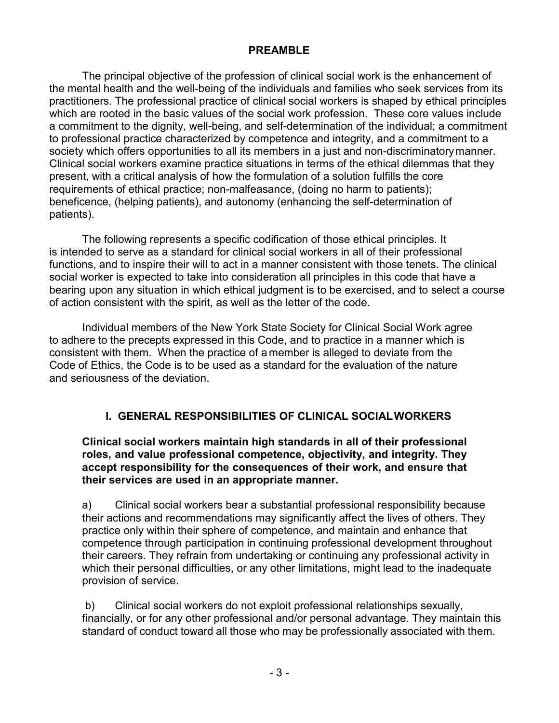#### **PREAMBLE**

The principal objective of the profession of clinical social work is the enhancement of the mental health and the well-being of the individuals and families who seek services from its practitioners. The professional practice of clinical social workers is shaped by ethical principles which are rooted in the basic values of the social work profession. These core values include a commitment to the dignity, well-being, and self-determination of the individual; a commitment to professional practice characterized by competence and integrity, and a commitment to a society which offers opportunities to all its members in a just and non-discriminatorymanner. Clinical social workers examine practice situations in terms of the ethical dilemmas that they present, with a critical analysis of how the formulation of a solution fulfills the core requirements of ethical practice; non-malfeasance, (doing no harm to patients); beneficence, (helping patients), and autonomy (enhancing the self-determination of patients).

The following represents a specific codification of those ethical principles. It is intended to serve as a standard for clinical social workers in all of their professional functions, and to inspire their will to act in a manner consistent with those tenets. The clinical social worker is expected to take into consideration all principles in this code that have a bearing upon any situation in which ethical judgment is to be exercised, and to select a course of action consistent with the spirit, as well as the letter of the code.

Individual members of the New York State Society for Clinical Social Work agree to adhere to the precepts expressed in this Code, and to practice in a manner which is consistent with them. When the practice of a member is alleged to deviate from the Code of Ethics, the Code is to be used as a standard for the evaluation of the nature and seriousness of the deviation.

## **I. GENERAL RESPONSIBILITIES OF CLINICAL SOCIALWORKERS**

**Clinical social workers maintain high standards in all of their professional roles, and value professional competence, objectivity, and integrity. They accept responsibility for the consequences of their work, and ensure that their services are used in an appropriate manner.**

a) Clinical social workers bear a substantial professional responsibility because their actions and recommendations may significantly affect the lives of others. They practice only within their sphere of competence, and maintain and enhance that competence through participation in continuing professional development throughout their careers. They refrain from undertaking or continuing any professional activity in which their personal difficulties, or any other limitations, might lead to the inadequate provision of service.

b) Clinical social workers do not exploit professional relationships sexually, financially, or for any other professional and/or personal advantage. They maintain this standard of conduct toward all those who may be professionally associated with them.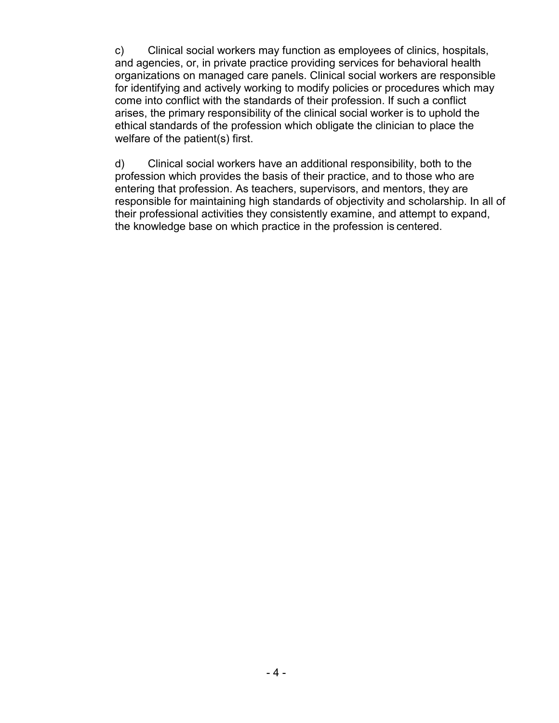c) Clinical social workers may function as employees of clinics, hospitals, and agencies, or, in private practice providing services for behavioral health organizations on managed care panels. Clinical social workers are responsible for identifying and actively working to modify policies or procedures which may come into conflict with the standards of their profession. If such a conflict arises, the primary responsibility of the clinical social worker is to uphold the ethical standards of the profession which obligate the clinician to place the welfare of the patient(s) first.

d) Clinical social workers have an additional responsibility, both to the profession which provides the basis of their practice, and to those who are entering that profession. As teachers, supervisors, and mentors, they are responsible for maintaining high standards of objectivity and scholarship. In all of their professional activities they consistently examine, and attempt to expand, the knowledge base on which practice in the profession is centered.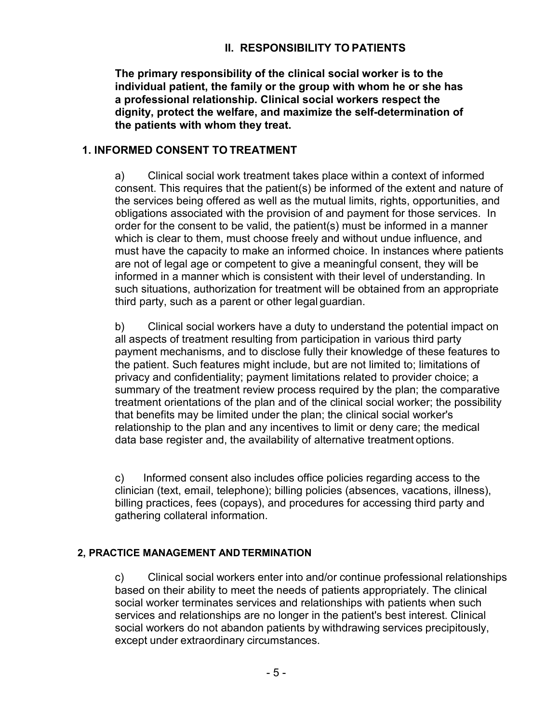#### **II. RESPONSIBILITY TO PATIENTS**

**The primary responsibility of the clinical social worker is to the individual patient, the family or the group with whom he or she has a professional relationship. Clinical social workers respect the dignity, protect the welfare, and maximize the self-determination of the patients with whom they treat.**

#### **1. INFORMED CONSENT TO TREATMENT**

a) Clinical social work treatment takes place within a context of informed consent. This requires that the patient(s) be informed of the extent and nature of the services being offered as well as the mutual limits, rights, opportunities, and obligations associated with the provision of and payment for those services. In order for the consent to be valid, the patient(s) must be informed in a manner which is clear to them, must choose freely and without undue influence, and must have the capacity to make an informed choice. In instances where patients are not of legal age or competent to give a meaningful consent, they will be informed in a manner which is consistent with their level of understanding. In such situations, authorization for treatment will be obtained from an appropriate third party, such as a parent or other legal guardian.

b) Clinical social workers have a duty to understand the potential impact on all aspects of treatment resulting from participation in various third party payment mechanisms, and to disclose fully their knowledge of these features to the patient. Such features might include, but are not limited to; limitations of privacy and confidentiality; payment limitations related to provider choice; a summary of the treatment review process required by the plan; the comparative treatment orientations of the plan and of the clinical social worker; the possibility that benefits may be limited under the plan; the clinical social worker's relationship to the plan and any incentives to limit or deny care; the medical data base register and, the availability of alternative treatment options.

c) Informed consent also includes office policies regarding access to the clinician (text, email, telephone); billing policies (absences, vacations, illness), billing practices, fees (copays), and procedures for accessing third party and gathering collateral information.

### **2, PRACTICE MANAGEMENT AND TERMINATION**

c) Clinical social workers enter into and/or continue professional relationships based on their ability to meet the needs of patients appropriately. The clinical social worker terminates services and relationships with patients when such services and relationships are no longer in the patient's best interest. Clinical social workers do not abandon patients by withdrawing services precipitously, except under extraordinary circumstances.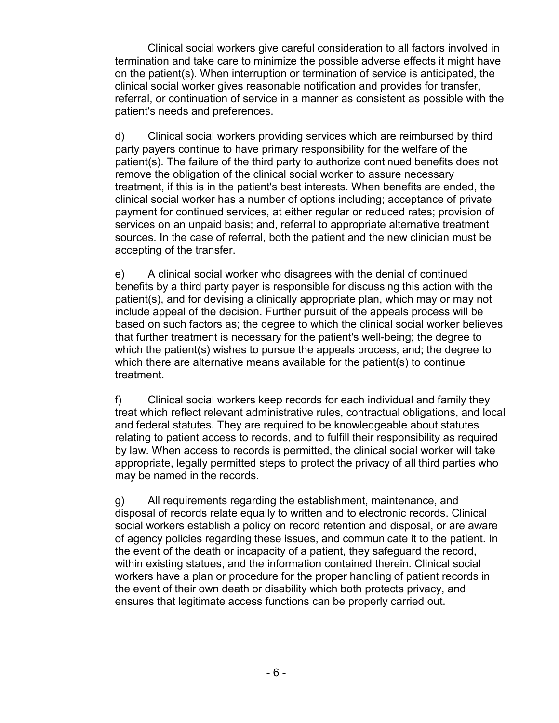Clinical social workers give careful consideration to all factors involved in termination and take care to minimize the possible adverse effects it might have on the patient(s). When interruption or termination of service is anticipated, the clinical social worker gives reasonable notification and provides for transfer, referral, or continuation of service in a manner as consistent as possible with the patient's needs and preferences.

d) Clinical social workers providing services which are reimbursed by third party payers continue to have primary responsibility for the welfare of the patient(s). The failure of the third party to authorize continued benefits does not remove the obligation of the clinical social worker to assure necessary treatment, if this is in the patient's best interests. When benefits are ended, the clinical social worker has a number of options including; acceptance of private payment for continued services, at either regular or reduced rates; provision of services on an unpaid basis; and, referral to appropriate alternative treatment sources. In the case of referral, both the patient and the new clinician must be accepting of the transfer.

e) A clinical social worker who disagrees with the denial of continued benefits by a third party payer is responsible for discussing this action with the patient(s), and for devising a clinically appropriate plan, which may or may not include appeal of the decision. Further pursuit of the appeals process will be based on such factors as; the degree to which the clinical social worker believes that further treatment is necessary for the patient's well-being; the degree to which the patient(s) wishes to pursue the appeals process, and; the degree to which there are alternative means available for the patient(s) to continue treatment.

f) Clinical social workers keep records for each individual and family they treat which reflect relevant administrative rules, contractual obligations, and local and federal statutes. They are required to be knowledgeable about statutes relating to patient access to records, and to fulfill their responsibility as required by law. When access to records is permitted, the clinical social worker will take appropriate, legally permitted steps to protect the privacy of all third parties who may be named in the records.

g) All requirements regarding the establishment, maintenance, and disposal of records relate equally to written and to electronic records. Clinical social workers establish a policy on record retention and disposal, or are aware of agency policies regarding these issues, and communicate it to the patient. In the event of the death or incapacity of a patient, they safeguard the record, within existing statues, and the information contained therein. Clinical social workers have a plan or procedure for the proper handling of patient records in the event of their own death or disability which both protects privacy, and ensures that legitimate access functions can be properly carried out.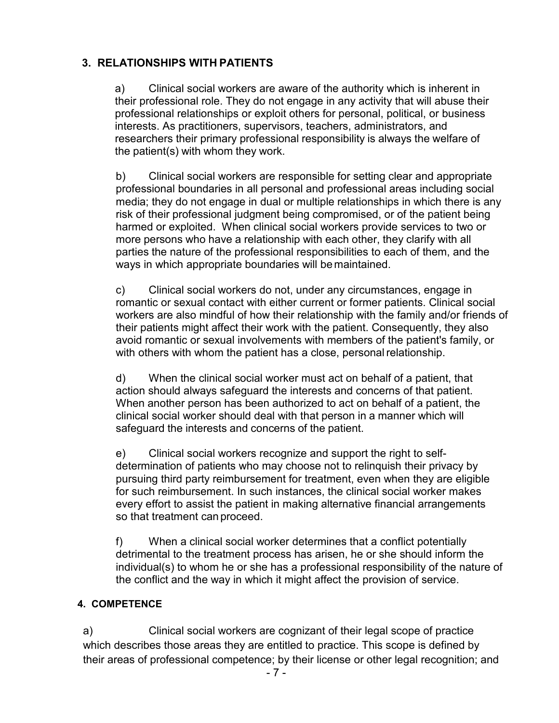## **3. RELATIONSHIPS WITH PATIENTS**

a) Clinical social workers are aware of the authority which is inherent in their professional role. They do not engage in any activity that will abuse their professional relationships or exploit others for personal, political, or business interests. As practitioners, supervisors, teachers, administrators, and researchers their primary professional responsibility is always the welfare of the patient(s) with whom they work.

b) Clinical social workers are responsible for setting clear and appropriate professional boundaries in all personal and professional areas including social media; they do not engage in dual or multiple relationships in which there is any risk of their professional judgment being compromised, or of the patient being harmed or exploited. When clinical social workers provide services to two or more persons who have a relationship with each other, they clarify with all parties the nature of the professional responsibilities to each of them, and the ways in which appropriate boundaries will be maintained.

c) Clinical social workers do not, under any circumstances, engage in romantic or sexual contact with either current or former patients. Clinical social workers are also mindful of how their relationship with the family and/or friends of their patients might affect their work with the patient. Consequently, they also avoid romantic or sexual involvements with members of the patient's family, or with others with whom the patient has a close, personal relationship.

d) When the clinical social worker must act on behalf of a patient, that action should always safeguard the interests and concerns of that patient. When another person has been authorized to act on behalf of a patient, the clinical social worker should deal with that person in a manner which will safeguard the interests and concerns of the patient.

e) Clinical social workers recognize and support the right to selfdetermination of patients who may choose not to relinquish their privacy by pursuing third party reimbursement for treatment, even when they are eligible for such reimbursement. In such instances, the clinical social worker makes every effort to assist the patient in making alternative financial arrangements so that treatment can proceed.

f) When a clinical social worker determines that a conflict potentially detrimental to the treatment process has arisen, he or she should inform the individual(s) to whom he or she has a professional responsibility of the nature of the conflict and the way in which it might affect the provision of service.

#### **4. COMPETENCE**

a) Clinical social workers are cognizant of their legal scope of practice which describes those areas they are entitled to practice. This scope is defined by their areas of professional competence; by their license or other legal recognition; and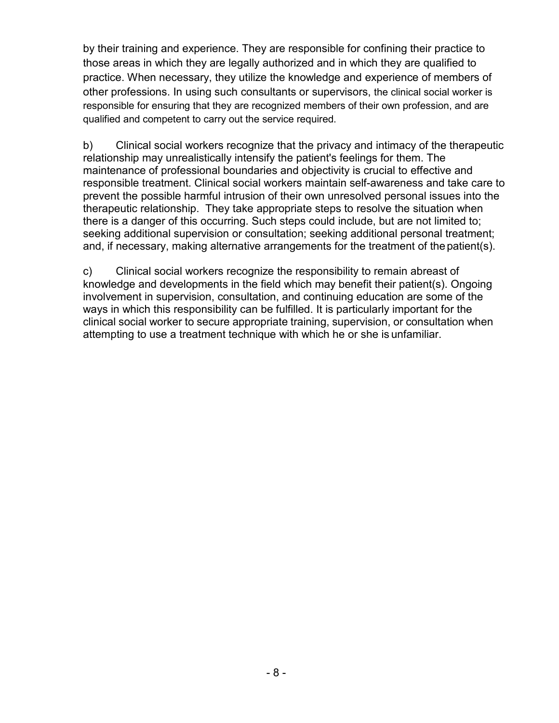by their training and experience. They are responsible for confining their practice to those areas in which they are legally authorized and in which they are qualified to practice. When necessary, they utilize the knowledge and experience of members of other professions. In using such consultants or supervisors, the clinical social worker is responsible for ensuring that they are recognized members of their own profession, and are qualified and competent to carry out the service required.

b) Clinical social workers recognize that the privacy and intimacy of the therapeutic relationship may unrealistically intensify the patient's feelings for them. The maintenance of professional boundaries and objectivity is crucial to effective and responsible treatment. Clinical social workers maintain self-awareness and take care to prevent the possible harmful intrusion of their own unresolved personal issues into the therapeutic relationship. They take appropriate steps to resolve the situation when there is a danger of this occurring. Such steps could include, but are not limited to; seeking additional supervision or consultation; seeking additional personal treatment; and, if necessary, making alternative arrangements for the treatment of thepatient(s).

c) Clinical social workers recognize the responsibility to remain abreast of knowledge and developments in the field which may benefit their patient(s). Ongoing involvement in supervision, consultation, and continuing education are some of the ways in which this responsibility can be fulfilled. It is particularly important for the clinical social worker to secure appropriate training, supervision, or consultation when attempting to use a treatment technique with which he or she is unfamiliar.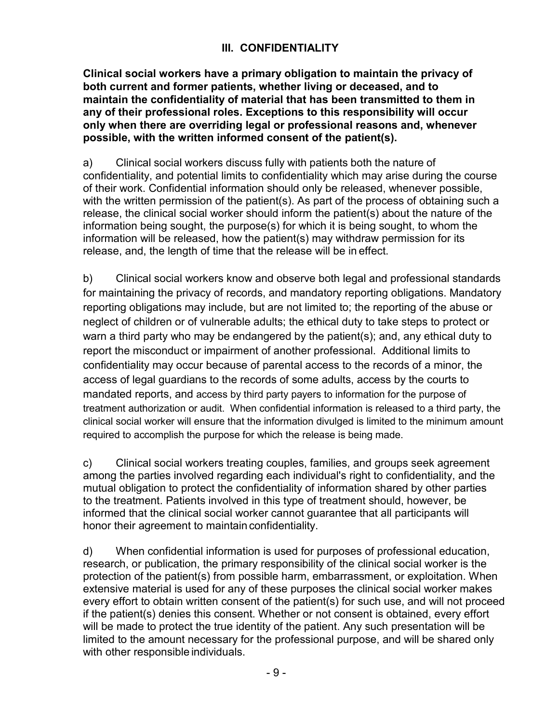### **III. CONFIDENTIALITY**

**Clinical social workers have a primary obligation to maintain the privacy of both current and former patients, whether living or deceased, and to maintain the confidentiality of material that has been transmitted to them in any of their professional roles. Exceptions to this responsibility will occur only when there are overriding legal or professional reasons and, whenever possible, with the written informed consent of the patient(s).**

a) Clinical social workers discuss fully with patients both the nature of confidentiality, and potential limits to confidentiality which may arise during the course of their work. Confidential information should only be released, whenever possible, with the written permission of the patient(s). As part of the process of obtaining such a release, the clinical social worker should inform the patient(s) about the nature of the information being sought, the purpose(s) for which it is being sought, to whom the information will be released, how the patient(s) may withdraw permission for its release, and, the length of time that the release will be in effect.

b) Clinical social workers know and observe both legal and professional standards for maintaining the privacy of records, and mandatory reporting obligations. Mandatory reporting obligations may include, but are not limited to; the reporting of the abuse or neglect of children or of vulnerable adults; the ethical duty to take steps to protect or warn a third party who may be endangered by the patient(s); and, any ethical duty to report the misconduct or impairment of another professional. Additional limits to confidentiality may occur because of parental access to the records of a minor, the access of legal guardians to the records of some adults, access by the courts to mandated reports, and access by third party payers to information for the purpose of treatment authorization or audit. When confidential information is released to a third party, the clinical social worker will ensure that the information divulged is limited to the minimum amount required to accomplish the purpose for which the release is being made.

c) Clinical social workers treating couples, families, and groups seek agreement among the parties involved regarding each individual's right to confidentiality, and the mutual obligation to protect the confidentiality of information shared by other parties to the treatment. Patients involved in this type of treatment should, however, be informed that the clinical social worker cannot guarantee that all participants will honor their agreement to maintain confidentiality.

d) When confidential information is used for purposes of professional education, research, or publication, the primary responsibility of the clinical social worker is the protection of the patient(s) from possible harm, embarrassment, or exploitation. When extensive material is used for any of these purposes the clinical social worker makes every effort to obtain written consent of the patient(s) for such use, and will not proceed if the patient(s) denies this consent. Whether or not consent is obtained, every effort will be made to protect the true identity of the patient. Any such presentation will be limited to the amount necessary for the professional purpose, and will be shared only with other responsible individuals.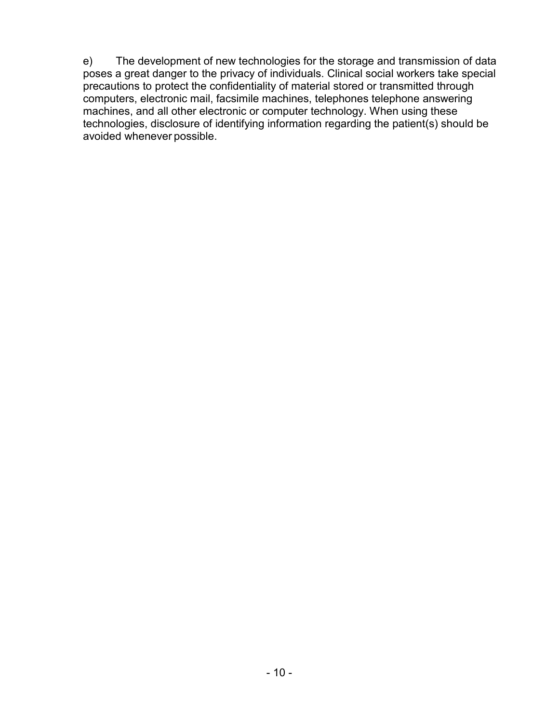e) The development of new technologies for the storage and transmission of data poses a great danger to the privacy of individuals. Clinical social workers take special precautions to protect the confidentiality of material stored or transmitted through computers, electronic mail, facsimile machines, telephones telephone answering machines, and all other electronic or computer technology. When using these technologies, disclosure of identifying information regarding the patient(s) should be avoided whenever possible.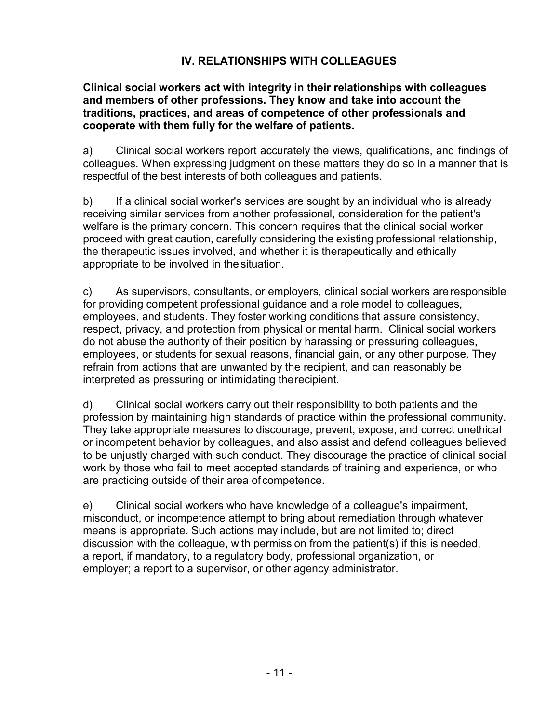## **IV. RELATIONSHIPS WITH COLLEAGUES**

**Clinical social workers act with integrity in their relationships with colleagues and members of other professions. They know and take into account the traditions, practices, and areas of competence of other professionals and cooperate with them fully for the welfare of patients.**

a) Clinical social workers report accurately the views, qualifications, and findings of colleagues. When expressing judgment on these matters they do so in a manner that is respectful of the best interests of both colleagues and patients.

b) If a clinical social worker's services are sought by an individual who is already receiving similar services from another professional, consideration for the patient's welfare is the primary concern. This concern requires that the clinical social worker proceed with great caution, carefully considering the existing professional relationship, the therapeutic issues involved, and whether it is therapeutically and ethically appropriate to be involved in the situation.

c) As supervisors, consultants, or employers, clinical social workers are responsible for providing competent professional guidance and a role model to colleagues, employees, and students. They foster working conditions that assure consistency, respect, privacy, and protection from physical or mental harm. Clinical social workers do not abuse the authority of their position by harassing or pressuring colleagues, employees, or students for sexual reasons, financial gain, or any other purpose. They refrain from actions that are unwanted by the recipient, and can reasonably be interpreted as pressuring or intimidating therecipient.

d) Clinical social workers carry out their responsibility to both patients and the profession by maintaining high standards of practice within the professional community. They take appropriate measures to discourage, prevent, expose, and correct unethical or incompetent behavior by colleagues, and also assist and defend colleagues believed to be unjustly charged with such conduct. They discourage the practice of clinical social work by those who fail to meet accepted standards of training and experience, or who are practicing outside of their area of competence.

e) Clinical social workers who have knowledge of a colleague's impairment, misconduct, or incompetence attempt to bring about remediation through whatever means is appropriate. Such actions may include, but are not limited to; direct discussion with the colleague, with permission from the patient(s) if this is needed, a report, if mandatory, to a regulatory body, professional organization, or employer; a report to a supervisor, or other agency administrator.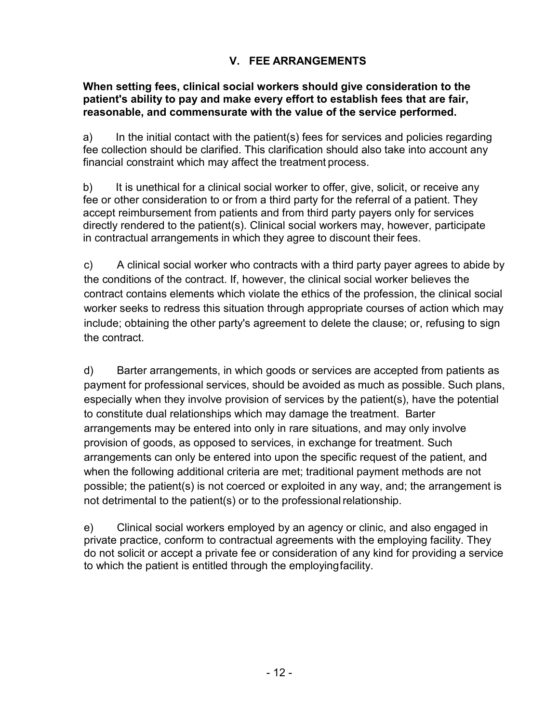## **V. FEE ARRANGEMENTS**

**When setting fees, clinical social workers should give consideration to the patient's ability to pay and make every effort to establish fees that are fair, reasonable, and commensurate with the value of the service performed.**

a) In the initial contact with the patient(s) fees for services and policies regarding fee collection should be clarified. This clarification should also take into account any financial constraint which may affect the treatment process.

b) It is unethical for a clinical social worker to offer, give, solicit, or receive any fee or other consideration to or from a third party for the referral of a patient. They accept reimbursement from patients and from third party payers only for services directly rendered to the patient(s). Clinical social workers may, however, participate in contractual arrangements in which they agree to discount their fees.

c) A clinical social worker who contracts with a third party payer agrees to abide by the conditions of the contract. If, however, the clinical social worker believes the contract contains elements which violate the ethics of the profession, the clinical social worker seeks to redress this situation through appropriate courses of action which may include; obtaining the other party's agreement to delete the clause; or, refusing to sign the contract.

d) Barter arrangements, in which goods or services are accepted from patients as payment for professional services, should be avoided as much as possible. Such plans, especially when they involve provision of services by the patient(s), have the potential to constitute dual relationships which may damage the treatment. Barter arrangements may be entered into only in rare situations, and may only involve provision of goods, as opposed to services, in exchange for treatment. Such arrangements can only be entered into upon the specific request of the patient, and when the following additional criteria are met; traditional payment methods are not possible; the patient(s) is not coerced or exploited in any way, and; the arrangement is not detrimental to the patient(s) or to the professionalrelationship.

e) Clinical social workers employed by an agency or clinic, and also engaged in private practice, conform to contractual agreements with the employing facility. They do not solicit or accept a private fee or consideration of any kind for providing a service to which the patient is entitled through the employingfacility.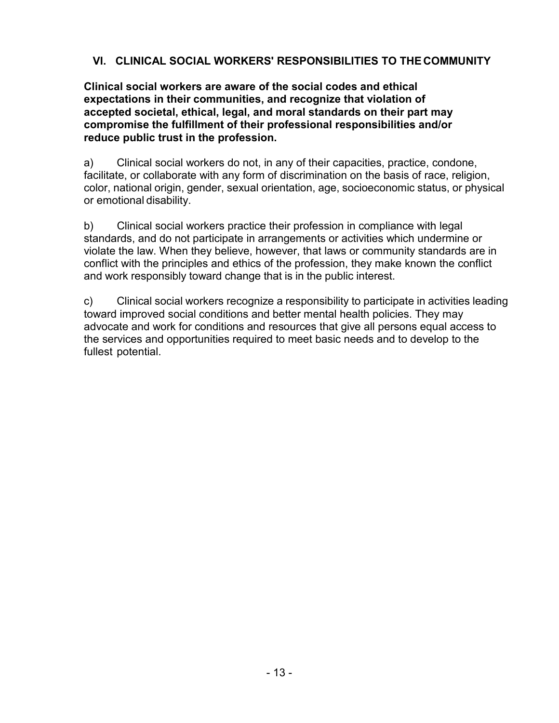## **VI. CLINICAL SOCIAL WORKERS' RESPONSIBILITIES TO THE COMMUNITY**

**Clinical social workers are aware of the social codes and ethical expectations in their communities, and recognize that violation of accepted societal, ethical, legal, and moral standards on their part may compromise the fulfillment of their professional responsibilities and/or reduce public trust in the profession.**

a) Clinical social workers do not, in any of their capacities, practice, condone, facilitate, or collaborate with any form of discrimination on the basis of race, religion, color, national origin, gender, sexual orientation, age, socioeconomic status, or physical or emotional disability.

b) Clinical social workers practice their profession in compliance with legal standards, and do not participate in arrangements or activities which undermine or violate the law. When they believe, however, that laws or community standards are in conflict with the principles and ethics of the profession, they make known the conflict and work responsibly toward change that is in the public interest.

c) Clinical social workers recognize a responsibility to participate in activities leading toward improved social conditions and better mental health policies. They may advocate and work for conditions and resources that give all persons equal access to the services and opportunities required to meet basic needs and to develop to the fullest potential.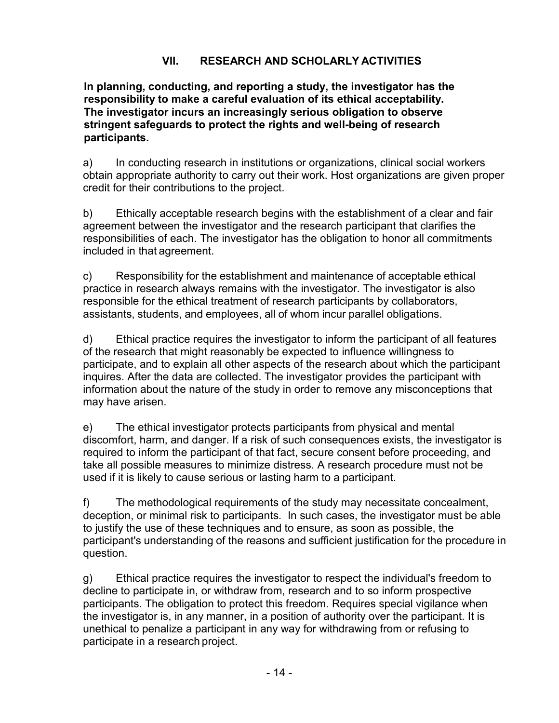## **VII. RESEARCH AND SCHOLARLY ACTIVITIES**

**In planning, conducting, and reporting a study, the investigator has the responsibility to make a careful evaluation of its ethical acceptability. The investigator incurs an increasingly serious obligation to observe stringent safeguards to protect the rights and well-being of research participants.**

a) In conducting research in institutions or organizations, clinical social workers obtain appropriate authority to carry out their work. Host organizations are given proper credit for their contributions to the project.

b) Ethically acceptable research begins with the establishment of a clear and fair agreement between the investigator and the research participant that clarifies the responsibilities of each. The investigator has the obligation to honor all commitments included in that agreement.

c) Responsibility for the establishment and maintenance of acceptable ethical practice in research always remains with the investigator. The investigator is also responsible for the ethical treatment of research participants by collaborators, assistants, students, and employees, all of whom incur parallel obligations.

d) Ethical practice requires the investigator to inform the participant of all features of the research that might reasonably be expected to influence willingness to participate, and to explain all other aspects of the research about which the participant inquires. After the data are collected. The investigator provides the participant with information about the nature of the study in order to remove any misconceptions that may have arisen.

e) The ethical investigator protects participants from physical and mental discomfort, harm, and danger. If a risk of such consequences exists, the investigator is required to inform the participant of that fact, secure consent before proceeding, and take all possible measures to minimize distress. A research procedure must not be used if it is likely to cause serious or lasting harm to a participant.

f) The methodological requirements of the study may necessitate concealment, deception, or minimal risk to participants. In such cases, the investigator must be able to justify the use of these techniques and to ensure, as soon as possible, the participant's understanding of the reasons and sufficient justification for the procedure in question.

g) Ethical practice requires the investigator to respect the individual's freedom to decline to participate in, or withdraw from, research and to so inform prospective participants. The obligation to protect this freedom. Requires special vigilance when the investigator is, in any manner, in a position of authority over the participant. It is unethical to penalize a participant in any way for withdrawing from or refusing to participate in a research project.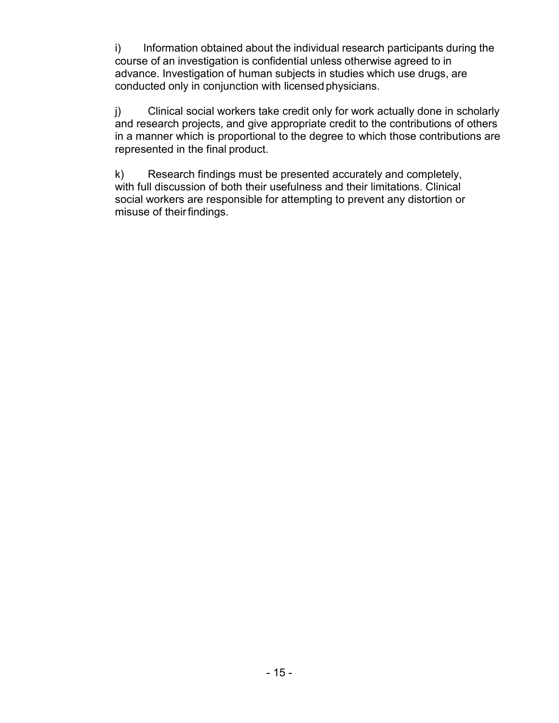i) Information obtained about the individual research participants during the course of an investigation is confidential unless otherwise agreed to in advance. Investigation of human subjects in studies which use drugs, are conducted only in conjunction with licensed physicians.

j) Clinical social workers take credit only for work actually done in scholarly and research projects, and give appropriate credit to the contributions of others in a manner which is proportional to the degree to which those contributions are represented in the final product.

k) Research findings must be presented accurately and completely, with full discussion of both their usefulness and their limitations. Clinical social workers are responsible for attempting to prevent any distortion or misuse of theirfindings.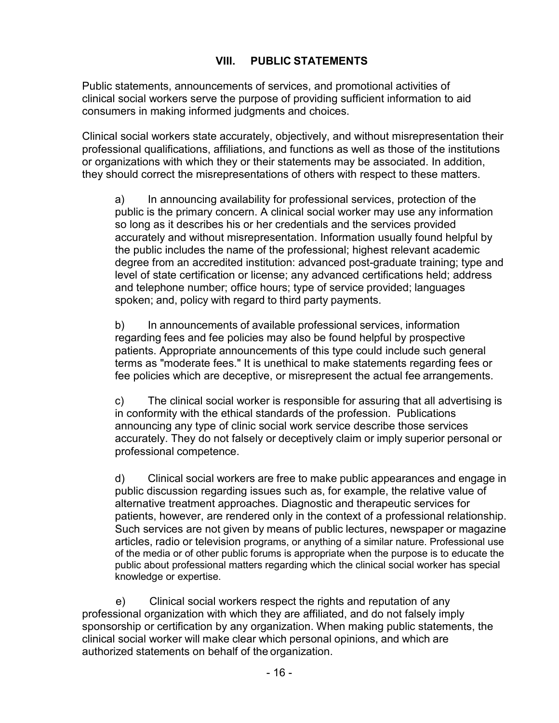## **VIII. PUBLIC STATEMENTS**

Public statements, announcements of services, and promotional activities of clinical social workers serve the purpose of providing sufficient information to aid consumers in making informed judgments and choices.

Clinical social workers state accurately, objectively, and without misrepresentation their professional qualifications, affiliations, and functions as well as those of the institutions or organizations with which they or their statements may be associated. In addition, they should correct the misrepresentations of others with respect to these matters.

a) In announcing availability for professional services, protection of the public is the primary concern. A clinical social worker may use any information so long as it describes his or her credentials and the services provided accurately and without misrepresentation. Information usually found helpful by the public includes the name of the professional; highest relevant academic degree from an accredited institution: advanced post-graduate training; type and level of state certification or license; any advanced certifications held; address and telephone number; office hours; type of service provided; languages spoken; and, policy with regard to third party payments.

b) In announcements of available professional services, information regarding fees and fee policies may also be found helpful by prospective patients. Appropriate announcements of this type could include such general terms as "moderate fees." It is unethical to make statements regarding fees or fee policies which are deceptive, or misrepresent the actual fee arrangements.

c) The clinical social worker is responsible for assuring that all advertising is in conformity with the ethical standards of the profession. Publications announcing any type of clinic social work service describe those services accurately. They do not falsely or deceptively claim or imply superior personal or professional competence.

d) Clinical social workers are free to make public appearances and engage in public discussion regarding issues such as, for example, the relative value of alternative treatment approaches. Diagnostic and therapeutic services for patients, however, are rendered only in the context of a professional relationship. Such services are not given by means of public lectures, newspaper or magazine articles, radio or television programs, or anything of a similar nature. Professional use of the media or of other public forums is appropriate when the purpose is to educate the public about professional matters regarding which the clinical social worker has special knowledge or expertise.

 e) Clinical social workers respect the rights and reputation of any professional organization with which they are affiliated, and do not falsely imply sponsorship or certification by any organization. When making public statements, the clinical social worker will make clear which personal opinions, and which are authorized statements on behalf of the organization.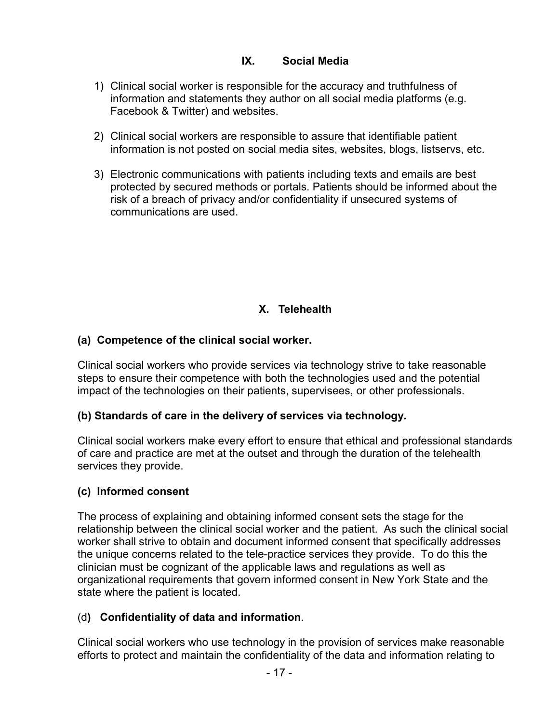### **IX. Social Media**

- 1) Clinical social worker is responsible for the accuracy and truthfulness of information and statements they author on all social media platforms (e.g. Facebook & Twitter) and websites.
- 2) Clinical social workers are responsible to assure that identifiable patient information is not posted on social media sites, websites, blogs, listservs, etc.
- 3) Electronic communications with patients including texts and emails are best protected by secured methods or portals. Patients should be informed about the risk of a breach of privacy and/or confidentiality if unsecured systems of communications are used.

## **X. Telehealth**

### **(a) Competence of the clinical social worker.**

Clinical social workers who provide services via technology strive to take reasonable steps to ensure their competence with both the technologies used and the potential impact of the technologies on their patients, supervisees, or other professionals.

### **(b) Standards of care in the delivery of services via technology.**

Clinical social workers make every effort to ensure that ethical and professional standards of care and practice are met at the outset and through the duration of the telehealth services they provide.

#### **(c) Informed consent**

The process of explaining and obtaining informed consent sets the stage for the relationship between the clinical social worker and the patient. As such the clinical social worker shall strive to obtain and document informed consent that specifically addresses the unique concerns related to the tele-practice services they provide. To do this the clinician must be cognizant of the applicable laws and regulations as well as organizational requirements that govern informed consent in New York State and the state where the patient is located.

#### (d**) Confidentiality of data and information**.

Clinical social workers who use technology in the provision of services make reasonable efforts to protect and maintain the confidentiality of the data and information relating to